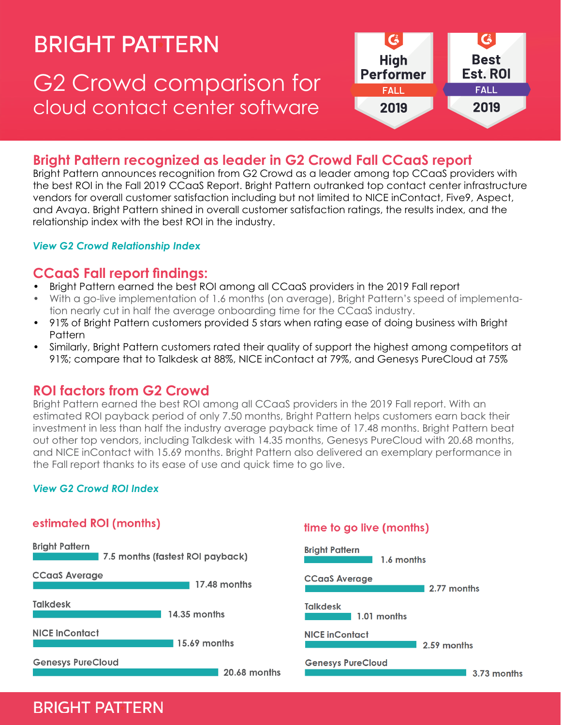# **BRIGHT PATTERN**

# G2 Crowd comparison for cloud contact center software



### **Bright Pattern recognized as leader in G2 Crowd Fall CCaaS report**

Bright Pattern announces recognition from G2 Crowd as a leader among top CCaaS providers with the best ROI in the Fall 2019 CCaaS Report. Bright Pattern outranked top contact center infrastructure vendors for overall customer satisfaction including but not limited to NICE inContact, Five9, Aspect, and Avaya. Bright Pattern shined in overall customer satisfaction ratings, the results index, and the relationship index with the best ROI in the industry.

#### *[View G2 Crowd Relationship Index](https://www.g2.com/gated_content/tokens/6ce1a6c5-7a11-43d7-ab41-0d496b6e4037)*

#### **CCaaS Fall report findings:**

- Bright Pattern earned the best ROI among all CCaaS providers in the 2019 Fall report
- With a go-live implementation of 1.6 months (on average), Bright Pattern's speed of implementation nearly cut in half the average onboarding time for the CCaaS industry.
- 91% of Bright Pattern customers provided 5 stars when rating ease of doing business with Bright **Pattern**
- Similarly, Bright Pattern customers rated their quality of support the highest among competitors at 91%; compare that to Talkdesk at 88%, NICE inContact at 79%, and Genesys PureCloud at 75%

#### **ROI factors from G2 Crowd**

Bright Pattern earned the best ROI among all CCaaS providers in the 2019 Fall report. With an estimated ROI payback period of only 7.50 months, Bright Pattern helps customers earn back their investment in less than half the industry average payback time of 17.48 months. Bright Pattern beat out other top vendors, including Talkdesk with 14.35 months, Genesys PureCloud with 20.68 months, and NICE inContact with 15.69 months. Bright Pattern also delivered an exemplary performance in the Fall report thanks to its ease of use and quick time to go live.

#### *[View G2 Crowd ROI Index](https://www.g2.com/gated_content/tokens/22c5088f-51c3-451b-ac3b-d9f04d25be83)*



## **BRIGHT PATTERN**